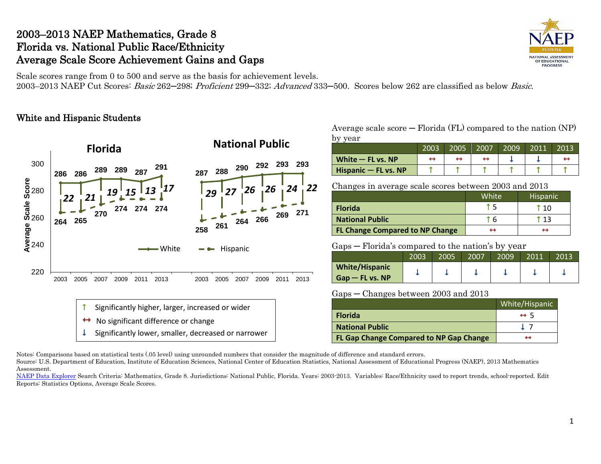## 2003–2013 NAEP Mathematics, Grade 8 Florida vs. National Public Race/Ethnicity Average Scale Score Achievement Gains and Gaps



Scale scores range from 0 to 500 and serve as the basis for achievement levels. 2003–2013 NAEP Cut Scores: Basic 262–298; Proficient 299–332; Advanced 333–500. Scores below 262 are classified as below Basic.

## White and Hispanic Students



### Average scale  $score - Florida (FL)$  compared to the nation  $(NP)$ by year

| $\sim$ $\prime$<br>, vul | 2003 | 2005 | 2007 | 2009 | 2011 | 2013 |
|--------------------------|------|------|------|------|------|------|
| White $-$ FL vs. NP      |      |      |      |      |      |      |
| Hispanic - FL vs. NP     |      |      |      |      |      |      |

Changes in average scale scores between 2003 and 2013

|                                        | White <sup>1</sup> | <b>Hispanic</b> |
|----------------------------------------|--------------------|-----------------|
| <b>Florida</b>                         |                    | † 10            |
| <b>National Public</b>                 |                    |                 |
| <b>FL Change Compared to NP Change</b> |                    |                 |

#### Gaps — Florida's compared to the nation's by year

|                                            | 2003 | 2005 | 2007 | 2009 | 2011 | 2013 |
|--------------------------------------------|------|------|------|------|------|------|
| <b>White/Hispanic</b><br>$Gap - FL vs. NP$ |      |      |      |      |      |      |

#### Gaps ─ Changes between 2003 and 2013

|                                         | White/Hispanic     |
|-----------------------------------------|--------------------|
| <b>Florida</b>                          | $leftrightarrow$ 5 |
| <b>National Public</b>                  |                    |
| FL Gap Change Compared to NP Gap Change | ↔                  |

Notes: Comparisons based on statistical tests (.05 level) using unrounded numbers that consider the magnitude of difference and standard errors.

Source: U.S. Department of Education, Institute of Education Sciences, National Center of Education Statistics, National Assessment of Educational Progress (NAEP), 2013 Mathematics Assessment.

[NAEP Data Explorer](http://nces.ed.gov/nationsreportcard/naepdata/) Search Criteria: Mathematics, Grade 8. Jurisdictions: National Public, Florida. Years: 2003-2013. Variables: Race/Ethnicity used to report trends, school-reported. Edit Reports: Statistics Options, Average Scale Scores.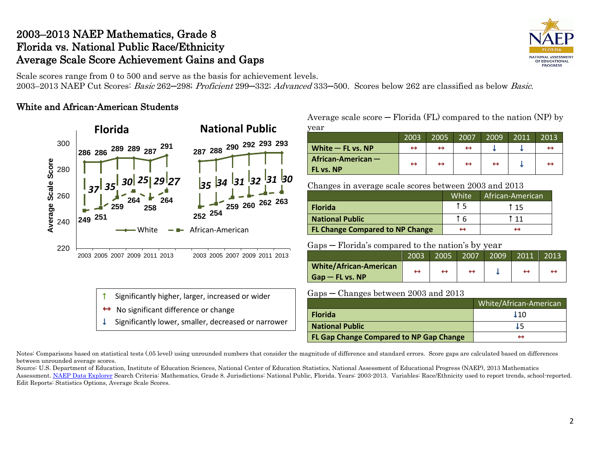# 2003–2013 NAEP Mathematics, Grade 8 Florida vs. National Public Race/Ethnicity Average Scale Score Achievement Gains and Gaps



Scale scores range from 0 to 500 and serve as the basis for achievement levels. 2003–2013 NAEP Cut Scores: Basic 262–298; Proficient 299–332; Advanced 333–500. Scores below 262 are classified as below Basic.

## White and African-American Students



Average scale score  $-$  Florida (FL) compared to the nation (NP) by  $\sum_{i=1}^{n}$ 

| veal                |      |      |      |                   |      |      |
|---------------------|------|------|------|-------------------|------|------|
|                     | 2003 | 2005 | 2007 | 2009              | 2011 | 2013 |
| White $-$ FL vs. NP | ↔    | ↔    |      |                   |      |      |
| African-American -  | ↔    | ↔    | ↔    | $\leftrightarrow$ |      |      |
| FL vs. NP           |      |      |      |                   |      |      |

Changes in average scale scores between 2003 and 2013

|                                        | White | African-American |
|----------------------------------------|-------|------------------|
| <b>Florida</b>                         |       | t 15             |
| <b>National Public</b>                 |       | t 11             |
| <b>FL Change Compared to NP Change</b> |       |                  |

Gaps ─ Florida's compared to the nation's by year

|                               | 2003 | 2005 | 2007 | 2009 | 2011 | 2013 |
|-------------------------------|------|------|------|------|------|------|
| <b>White/African-American</b> |      |      |      |      |      |      |
| $Gap$ – FL vs. NP             |      |      |      |      |      |      |

Gaps ─ Changes between 2003 and 2013 Significantly higher, larger, increased or wider

- No significant difference or change
- Significantly lower, smaller, decreased or narrower

| 1 U D U<br>Changes between 2000 and 2010 |                        |
|------------------------------------------|------------------------|
|                                          | White/African-American |
| <b>Florida</b>                           | 110                    |
| <b>National Public</b>                   |                        |
| FL Gap Change Compared to NP Gap Change  |                        |

Notes: Comparisons based on statistical tests (.05 level) using unrounded numbers that consider the magnitude of difference and standard errors. Score gaps are calculated based on differences between unrounded average scores.

Source: U.S. Department of Education, Institute of Education Sciences, National Center of Education Statistics, National Assessment of Educational Progress (NAEP), 2013 Mathematics Assessment[. NAEP Data Explorer](http://nces.ed.gov/nationsreportcard/naepdata/) Search Criteria: Mathematics, Grade 8. Jurisdictions: National Public, Florida. Years: 2003-2013. Variables: Race/Ethnicity used to report trends, school-reported. Edit Reports: Statistics Options, Average Scale Scores.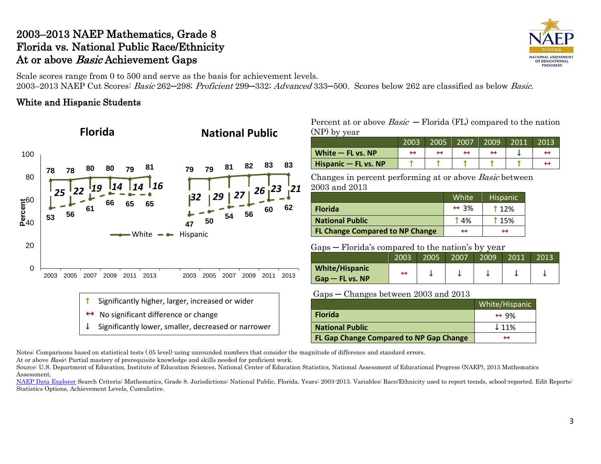# 2003–2013 NAEP Mathematics, Grade 8 Florida vs. National Public Race/Ethnicity At or above *Basic* Achievement Gaps

NATIONAL ASSESSMENT OF EDUCATIONAL **PROGRESS** 

Scale scores range from 0 to 500 and serve as the basis for achievement levels.

2003–2013 NAEP Cut Scores: Basic 262–298; Proficient 299–332; Advanced 333–500. Scores below 262 are classified as below Basic.

## White and Hispanic Students



Percent at or above  $Basic$  – Florida (FL) compared to the nation (NP) by year

|                        | 2003 | 2005 | 2007 | 2009 | 2011 | 2013 |
|------------------------|------|------|------|------|------|------|
| White $-$ FL vs. NP    |      |      |      |      |      |      |
| Hispanic $-$ FL vs. NP |      |      |      |      |      |      |

Changes in percent performing at or above Basic between 2003 and 2013

|                                        | White                | Hispanic <sup>'</sup> |
|----------------------------------------|----------------------|-----------------------|
| <b>Florida</b>                         | $\leftrightarrow$ 3% | 1 1 2 %               |
| <b>National Public</b>                 | <b>14%</b>           | <b>115%</b>           |
| <b>FL Change Compared to NP Change</b> | ↔                    | ↔                     |

Gaps ─ Florida's compared to the nation's by year

|                                            | 2003 | 2005 | 2007 | 2009 | 2011 | 2013 |
|--------------------------------------------|------|------|------|------|------|------|
| <b>White/Hispanic</b><br>$Gap$ – FL vs. NP |      |      |      |      |      |      |
|                                            |      |      |      |      |      |      |

Gaps ─ Changes between 2003 and 2013

|                                         | White/Hispanic       |
|-----------------------------------------|----------------------|
| <b>Florida</b>                          | $\leftrightarrow$ 9% |
| <b>National Public</b>                  | $\downarrow$ 11%     |
| FL Gap Change Compared to NP Gap Change | ↔                    |

Notes: Comparisons based on statistical tests (.05 level) using unrounded numbers that consider the magnitude of difference and standard errors.

At or above *Basic*: Partial mastery of prerequisite knowledge and skills needed for proficient work.

Source: U.S. Department of Education, Institute of Education Sciences, National Center of Education Statistics, National Assessment of Educational Progress (NAEP), 2013 Mathematics Assessment.

[NAEP Data Explorer](http://nces.ed.gov/nationsreportcard/naepdata/) Search Criteria: Mathematics, Grade 8. Jurisdictions: National Public, Florida. Years: 2003-2013. Variables: Race/Ethnicity used to report trends, school-reported. Edit Reports: Statistics Options, Achievement Levels, Cumulative.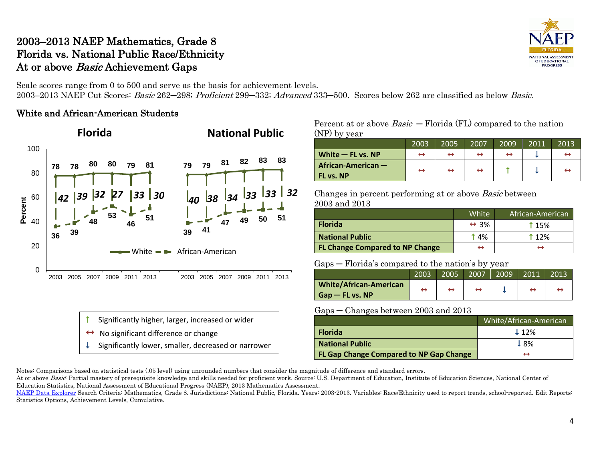# 2003–2013 NAEP Mathematics, Grade 8 Florida vs. National Public Race/Ethnicity At or above *Basic* Achievement Gaps

Scale scores range from 0 to 500 and serve as the basis for achievement levels. 2003–2013 NAEP Cut Scores: Basic 262–298; Proficient 299–332; Advanced 333–500. Scores below 262 are classified as below Basic.

### White and African-American Students



- Significantly higher, larger, increased or wider
- No significant difference or change
- Significantly lower, smaller, decreased or narrower

### Percent at or above  $Basic$  – Florida (FL) compared to the nation (NP) by year

|                                   | 2003              | 2005              | 2007 | 2009 | 2011 | 2013 |
|-----------------------------------|-------------------|-------------------|------|------|------|------|
| White $-$ FL vs. NP               | ↔                 | $\leftrightarrow$ | ↔    |      |      |      |
| African-American $-$<br>FL vs. NP | $\leftrightarrow$ | $\leftrightarrow$ | ↔    |      |      |      |

Changes in percent performing at or above Basic between 2003 and 2013

|                                        | White                | African-American |
|----------------------------------------|----------------------|------------------|
| <b>Florida</b>                         | $\leftrightarrow$ 3% | <b>115%</b>      |
| <b>National Public</b>                 | $\uparrow$ 4%        | <b>112%</b>      |
| <b>FL Change Compared to NP Change</b> | ⊣                    |                  |

### Gaps ─ Florida's compared to the nation's by year

|                                                      | 2003 | 2005 | 2007 | 2009 | .2011 | 2013 |
|------------------------------------------------------|------|------|------|------|-------|------|
| <b>White/African-American/</b><br>$G$ ap — FL vs. NP |      |      |      |      |       |      |
|                                                      |      |      |      |      |       |      |

### Gaps ─ Changes between 2003 and 2013

|                                         | White/African-American |
|-----------------------------------------|------------------------|
| <b>Florida</b>                          | $\downarrow$ 12%       |
| <b>National Public</b>                  | ↓8%                    |
| FL Gap Change Compared to NP Gap Change |                        |

Notes: Comparisons based on statistical tests (.05 level) using unrounded numbers that consider the magnitude of difference and standard errors.

At or above Basic: Partial mastery of prerequisite knowledge and skills needed for proficient work. Source: U.S. Department of Education, Institute of Education Sciences, National Center of Education Statistics, National Assessment of Educational Progress (NAEP), 2013 Mathematics Assessment.



[NAEP Data Explorer](http://nces.ed.gov/nationsreportcard/naepdata/) Search Criteria: Mathematics, Grade 8. Jurisdictions: National Public, Florida. Years: 2003-2013. Variables: Race/Ethnicity used to report trends, school-reported. Edit Reports: Statistics Options, Achievement Levels, Cumulative.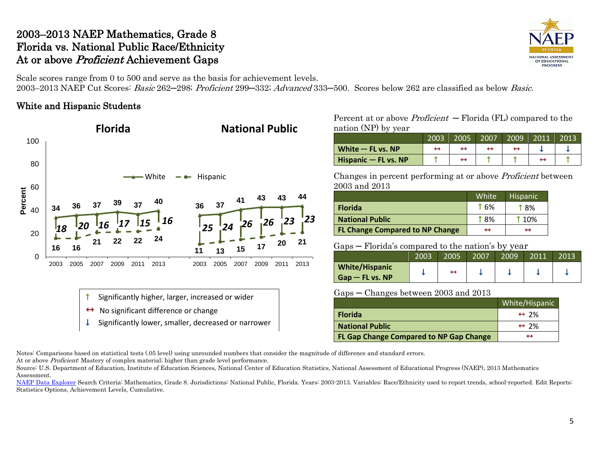# 2003–2013 NAEP Mathematics, Grade 8 Florida vs. National Public Race/Ethnicity At or above Proficient Achievement Gaps

NATIONAL ASSESSMENT OF EDUCATIONAL **PROGRESS** 

Scale scores range from 0 to 500 and serve as the basis for achievement levels. 2003–2013 NAEP Cut Scores: Basic 262─298; Proficient 299─332; Advanced 333─500. Scores below 262 are classified as below Basic.

## White and Hispanic Students



Percent at or above *Proficient*  $-$  Florida (FL) compared to the nation (NP) by year

|                      | 2003 | 2005 | 2007 | 2009 | 2011 | 2013 |
|----------------------|------|------|------|------|------|------|
| White $-$ FL vs. NP  |      |      |      |      |      |      |
| Hispanic - FL vs. NP |      |      |      |      |      |      |

Changes in percent performing at or above Proficient between 2003 and 2013

|                                        | White       | <b>Hispanic</b> |
|----------------------------------------|-------------|-----------------|
| <b>Florida</b>                         | <b>f</b> 6% | † ጸ%            |
| <b>National Public</b>                 | <b>18%</b>  | <b>t</b> 10%    |
| <b>FL Change Compared to NP Change</b> | ↔           | ↔               |

Gaps ─ Florida's compared to the nation's by year

|                       |      |      |      | . .  |      |      |  |
|-----------------------|------|------|------|------|------|------|--|
|                       | 2003 | 2005 | 2007 | 2009 | 2011 | 2013 |  |
| <b>White/Hispanic</b> |      | ↔    |      |      |      |      |  |
| $Gap$ – FL vs. NP     |      |      |      |      |      |      |  |

Gaps ─ Changes between 2003 and 2013

|                                         | White/Hispanic       |
|-----------------------------------------|----------------------|
| <b>Florida</b>                          | $\leftrightarrow$ 2% |
| <b>National Public</b>                  | $\leftrightarrow$ 2% |
| FL Gap Change Compared to NP Gap Change | ↔                    |

Notes: Comparisons based on statistical tests (.05 level) using unrounded numbers that consider the magnitude of difference and standard errors.

At or above *Proficient*: Mastery of complex material; higher than grade level performance.

Source: U.S. Department of Education, Institute of Education Sciences, National Center of Education Statistics, National Assessment of Educational Progress (NAEP), 2013 Mathematics Assessment.

[NAEP Data Explorer](http://nces.ed.gov/nationsreportcard/naepdata/) Search Criteria: Mathematics, Grade 8. Jurisdictions: National Public, Florida. Years: 2003-2013. Variables: Race/Ethnicity used to report trends, school-reported. Edit Reports: Statistics Options, Achievement Levels, Cumulative.